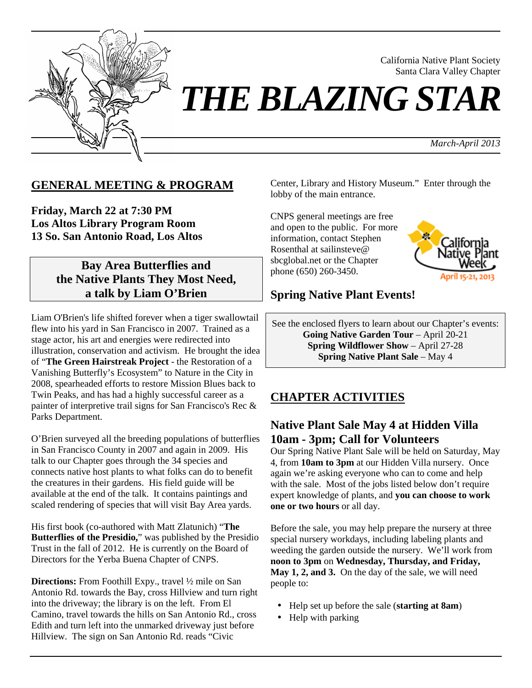

California Native Plant Society Santa Clara Valley Chapter

*THE BLAZING STAR*

*March-April 2013*

### **GENERAL MEETING & PROGRAM**

**Friday, March 22 at 7:30 PM Los Altos Library Program Room 13 So. San Antonio Road, Los Altos**

## **Bay Area Butterflies and the Native Plants They Most Need, a talk by Liam O'Brien**

Liam O'Brien's life shifted forever when a tiger swallowtail flew into his yard in San Francisco in 2007. Trained as a stage actor, his art and energies were redirected into illustration, conservation and activism. He brought the idea of "**The Green Hairstreak Project** - the Restoration of a Vanishing Butterfly's Ecosystem" to Nature in the City in 2008, spearheaded efforts to restore Mission Blues back to Twin Peaks, and has had a highly successful career as a painter of interpretive trail signs for San Francisco's Rec & Parks Department.

O'Brien surveyed all the breeding populations of butterflies in San Francisco County in 2007 and again in 2009. His talk to our Chapter goes through the 34 species and connects native host plants to what folks can do to benefit the creatures in their gardens. His field guide will be available at the end of the talk. It contains paintings and scaled rendering of species that will visit Bay Area yards.

His first book (co-authored with Matt Zlatunich) "**The Butterflies of the Presidio,**" was published by the Presidio Trust in the fall of 2012. He is currently on the Board of Directors for the Yerba Buena Chapter of CNPS.

**Directions:** From Foothill Expy., travel ½ mile on San Antonio Rd. towards the Bay, cross Hillview and turn right into the driveway; the library is on the left. From El Camino, travel towards the hills on San Antonio Rd., cross Edith and turn left into the unmarked driveway just before Hillview. The sign on San Antonio Rd. reads "Civic

Center, Library and History Museum." Enter through the lobby of the main entrance.

CNPS general meetings are free and open to the public. For more information, contact Stephen Rosenthal at sailinsteve@ sbcglobal.net or the Chapter phone (650) 260-3450.



### **Spring Native Plant Events!**

See the enclosed flyers to learn about our Chapter's events: **Going Native Garden Tour** – April 20-21 **Spring Wildflower Show** – April 27-28 **Spring Native Plant Sale** – May 4

### **CHAPTER ACTIVITIES**

## **Native Plant Sale May 4 at Hidden Villa 10am - 3pm; Call for Volunteers**

Our Spring Native Plant Sale will be held on Saturday, May 4, from **10am to 3pm** at our Hidden Villa nursery. Once again we're asking everyone who can to come and help with the sale. Most of the jobs listed below don't require expert knowledge of plants, and **you can choose to work one or two hours** or all day.

Before the sale, you may help prepare the nursery at three special nursery workdays, including labeling plants and weeding the garden outside the nursery. We'll work from **noon to 3pm** on **Wednesday, Thursday, and Friday, May 1, 2, and 3.** On the day of the sale, we will need people to:

- Help set up before the sale (**starting at 8am**)
- Help with parking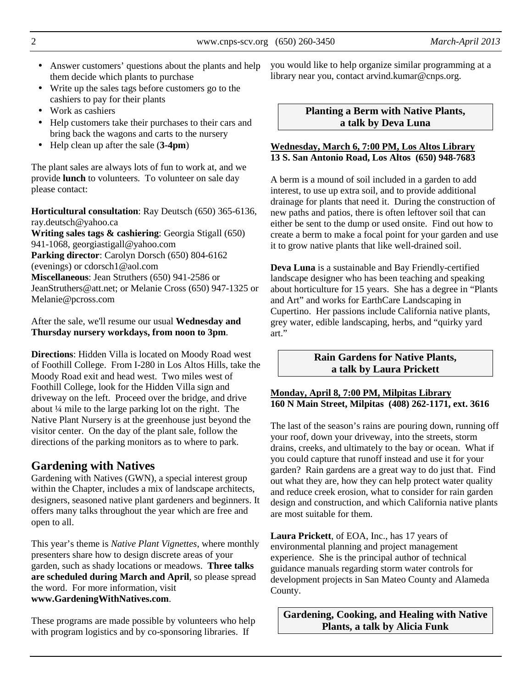2 www.cnps-scv.org (650) 260-3450 *March-April 2013*

- Answer customers' questions about the plants and help them decide which plants to purchase
- Write up the sales tags before customers go to the cashiers to pay for their plants
- Work as cashiers
- Help customers take their purchases to their cars and bring back the wagons and carts to the nursery
- Help clean up after the sale (**3-4pm**)

The plant sales are always lots of fun to work at, and we provide **lunch** to volunteers. To volunteer on sale day please contact:

**Horticultural consultation**: Ray Deutsch (650) 365-6136, ray.deutsch@yahoo.ca

**Writing sales tags & cashiering**: Georgia Stigall (650) 941-1068, georgiastigall@yahoo.com **Parking director**: Carolyn Dorsch (650) 804-6162 (evenings) or cdorsch1@aol.com **Miscellaneous**: Jean Struthers (650) 941-2586 or JeanStruthers@att.net; or Melanie Cross (650) 947-1325 or Melanie@pcross.com

After the sale, we'll resume our usual **Wednesday and Thursday nursery workdays, from noon to 3pm**.

**Directions**: Hidden Villa is located on Moody Road west of Foothill College. From I-280 in Los Altos Hills, take the Moody Road exit and head west. Two miles west of Foothill College, look for the Hidden Villa sign and driveway on the left. Proceed over the bridge, and drive about ¼ mile to the large parking lot on the right. The Native Plant Nursery is at the greenhouse just beyond the visitor center. On the day of the plant sale, follow the directions of the parking monitors as to where to park.

# **Gardening with Natives**

Gardening with Natives (GWN), a special interest group within the Chapter, includes a mix of landscape architects, designers, seasoned native plant gardeners and beginners. It offers many talks throughout the year which are free and open to all.

This year's theme is *Native Plant Vignettes*, where monthly presenters share how to design discrete areas of your garden, such as shady locations or meadows. **Three talks are scheduled during March and April**, so please spread the word. For more information, visit **www.GardeningWithNatives.com**.

These programs are made possible by volunteers who help with program logistics and by co-sponsoring libraries. If

you would like to help organize similar programming at a library near you, contact arvind.kumar@cnps.org.

#### **Planting a Berm with Native Plants, a talk by Deva Luna**

#### **Wednesday, March 6, 7:00 PM, Los Altos Library 13 S. San Antonio Road, Los Altos (650) 948-7683**

A berm is a mound of soil included in a garden to add interest, to use up extra soil, and to provide additional drainage for plants that need it. During the construction of new paths and patios, there is often leftover soil that can either be sent to the dump or used onsite. Find out how to create a berm to make a focal point for your garden and use it to grow native plants that like well-drained soil.

**Deva Luna** is a sustainable and Bay Friendly-certified landscape designer who has been teaching and speaking about horticulture for 15 years. She has a degree in "Plants and Art" and works for EarthCare Landscaping in Cupertino. Her passions include California native plants, grey water, edible landscaping, herbs, and "quirky yard art."

### **Rain Gardens for Native Plants, a talk by Laura Prickett**

### **Monday, April 8, 7:00 PM, Milpitas Library 160 N Main Street, Milpitas (408) 262-1171, ext. 3616**

The last of the season's rains are pouring down, running off your roof, down your driveway, into the streets, storm drains, creeks, and ultimately to the bay or ocean. What if you could capture that runoff instead and use it for your garden? Rain gardens are a great way to do just that. Find out what they are, how they can help protect water quality and reduce creek erosion, what to consider for rain garden design and construction, and which California native plants are most suitable for them.

**Laura Prickett**, of EOA, Inc., has 17 years of environmental planning and project management experience. She is the principal author of technical guidance manuals regarding storm water controls for development projects in San Mateo County and Alameda County.

**Gardening, Cooking, and Healing with Native Plants, a talk by Alicia Funk**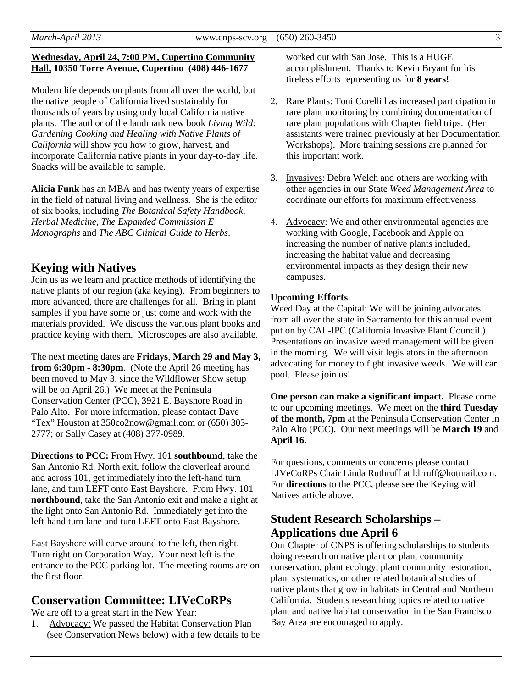#### **Wednesday, April 24, 7:00 PM, Cupertino Community Hall, 10350 Torre Avenue, Cupertino (408) 446-1677**

Modern life depends on plants from all over the world, but the native people of California lived sustainably for thousands of years by using only local California native plants. The author of the landmark new book *Living Wild: Gardening Cooking and Healing with Native Plants of California* will show you how to grow, harvest, and incorporate California native plants in your day-to-day life. Snacks will be available to sample.

**Alicia Funk** has an MBA and has twenty years of expertise in the field of natural living and wellness. She is the editor of six books, including *The Botanical Safety Handbook, Herbal Medicine, The Expanded Commission E Monographs* and *The ABC Clinical Guide to Herbs*.

### **Keying with Natives**

Join us as we learn and practice methods of identifying the native plants of our region (aka keying). From beginners to more advanced, there are challenges for all. Bring in plant samples if you have some or just come and work with the materials provided. We discuss the various plant books and practice keying with them. Microscopes are also available.

The next meeting dates are **Fridays**, **March 29 and May 3, from 6:30pm - 8:30pm.** (Note the April 26 meeting has been moved to May 3, since the Wildflower Show setup will be on April 26.) We meet at the Peninsula Conservation Center (PCC), 3921 E. Bayshore Road in Palo Alto. For more information, please contact Dave "Tex" Houston at 350co2now@gmail.com or (650) 303- 2777; or Sally Casey at (408) 377-0989.

**Directions to PCC:** From Hwy. 101 **southbound**, take the San Antonio Rd. North exit, follow the cloverleaf around and across 101, get immediately into the left-hand turn lane, and turn LEFT onto East Bayshore. From Hwy. 101 **northbound**, take the San Antonio exit and make a right at the light onto San Antonio Rd. Immediately get into the left-hand turn lane and turn LEFT onto East Bayshore.

East Bayshore will curve around to the left, then right. Turn right on Corporation Way. Your next left is the entrance to the PCC parking lot. The meeting rooms are on the first floor.

## **Conservation Committee: LIVeCoRPs**

We are off to a great start in the New Year:

1. Advocacy: We passed the Habitat Conservation Plan (see Conservation News below) with a few details to be worked out with San Jose. This is a HUGE accomplishment. Thanks to Kevin Bryant for his tireless efforts representing us for **8 years!**

- 2. Rare Plants: Toni Corelli has increased participation in rare plant monitoring by combining documentation of rare plant populations with Chapter field trips. (Her assistants were trained previously at her Documentation Workshops). More training sessions are planned for this important work.
- 3. Invasives: Debra Welch and others are working with other agencies in our State *Weed Management Area* to coordinate our efforts for maximum effectiveness.
- 4. Advocacy: We and other environmental agencies are working with Google, Facebook and Apple on increasing the number of native plants included, increasing the habitat value and decreasing environmental impacts as they design their new campuses.

### **Upcoming Efforts**

Weed Day at the Capital: We will be joining advocates from all over the state in Sacramento for this annual event put on by CAL-IPC (California Invasive Plant Council.) Presentations on invasive weed management will be given in the morning. We will visit legislators in the afternoon advocating for money to fight invasive weeds. We will car pool. Please join us!

**One person can make a significant impact.** Please come to our upcoming meetings. We meet on the **third Tuesday of the month, 7pm** at the Peninsula Conservation Center in Palo Alto (PCC). Our next meetings will be **March 19** and **April 16**.

For questions, comments or concerns please contact LIVeCoRPs Chair Linda Ruthruff at ldrruff@hotmail.com. For **directions** to the PCC, please see the Keying with Natives article above.

# **Student Research Scholarships – Applications due April 6**

Our Chapter of CNPS is offering scholarships to students doing research on native plant or plant community conservation, plant ecology, plant community restoration, plant systematics, or other related botanical studies of native plants that grow in habitats in Central and Northern California. Students researching topics related to native plant and native habitat conservation in the San Francisco Bay Area are encouraged to apply.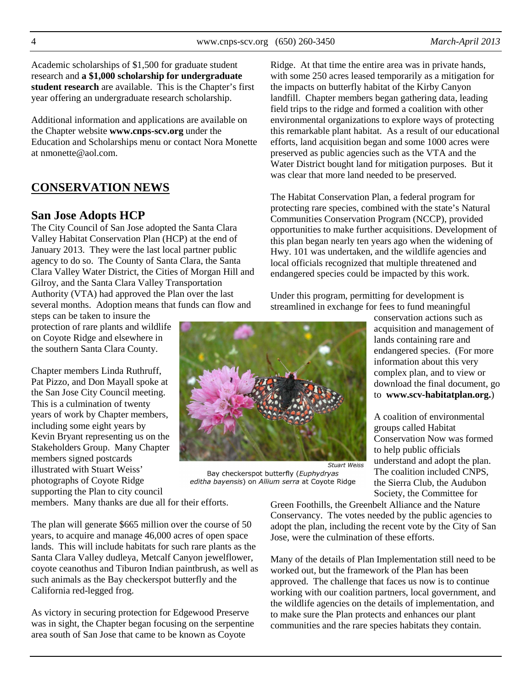Academic scholarships of \$1,500 for graduate student research and **a \$1,000 scholarship for undergraduate student research** are available. This is the Chapter's first year offering an undergraduate research scholarship.

Additional information and applications are available on the Chapter website **www.cnps-scv.org** under the Education and Scholarships menu or contact Nora Monette at nmonette@aol.com.

# **CONSERVATION NEWS**

### **San Jose Adopts HCP**

The City Council of San Jose adopted the Santa Clara Valley Habitat Conservation Plan (HCP) at the end of January 2013. They were the last local partner public agency to do so. The County of Santa Clara, the Santa Clara Valley Water District, the Cities of Morgan Hill and Gilroy, and the Santa Clara Valley Transportation Authority (VTA) had approved the Plan over the last several months. Adoption means that funds can flow and

steps can be taken to insure the protection of rare plants and wildlife on Coyote Ridge and elsewhere in the southern Santa Clara County.

Chapter members Linda Ruthruff, Pat Pizzo, and Don Mayall spoke at the San Jose City Council meeting. This is a culmination of twenty years of work by Chapter members, including some eight years by Kevin Bryant representing us on the Stakeholders Group. Many Chapter members signed postcards illustrated with Stuart Weiss' photographs of Coyote Ridge supporting the Plan to city council

members. Many thanks are due all for their efforts.

The plan will generate \$665 million over the course of 50 years, to acquire and manage 46,000 acres of open space lands. This will include habitats for such rare plants as the Santa Clara Valley dudleya, Metcalf Canyon jewelflower, coyote ceanothus and Tiburon Indian paintbrush, as well as such animals as the Bay checkerspot butterfly and the California red-legged frog.

As victory in securing protection for Edgewood Preserve was in sight, the Chapter began focusing on the serpentine area south of San Jose that came to be known as Coyote

Ridge. At that time the entire area was in private hands, with some 250 acres leased temporarily as a mitigation for the impacts on butterfly habitat of the Kirby Canyon landfill. Chapter members began gathering data, leading field trips to the ridge and formed a coalition with other environmental organizations to explore ways of protecting this remarkable plant habitat. As a result of our educational efforts, land acquisition began and some 1000 acres were preserved as public agencies such as the VTA and the Water District bought land for mitigation purposes. But it was clear that more land needed to be preserved.

The Habitat Conservation Plan, a federal program for protecting rare species, combined with the state's Natural Communities Conservation Program (NCCP), provided opportunities to make further acquisitions. Development of this plan began nearly ten years ago when the widening of Hwy. 101 was undertaken, and the wildlife agencies and local officials recognized that multiple threatened and endangered species could be impacted by this work.

Under this program, permitting for development is streamlined in exchange for fees to fund meaningful

conservation actions such as acquisition and management of lands containing rare and endangered species. (For more information about this very complex plan, and to view or download the final document, go to **www.scv-habitatplan.org.**)

A coalition of environmental groups called Habitat Conservation Now was formed to help public officials understand and adopt the plan. The coalition included CNPS, the Sierra Club, the Audubon Society, the Committee for

Green Foothills, the Greenbelt Alliance and the Nature Conservancy. The votes needed by the public agencies to adopt the plan, including the recent vote by the City of San Jose, were the culmination of these efforts.

Many of the details of Plan Implementation still need to be worked out, but the framework of the Plan has been approved. The challenge that faces us now is to continue working with our coalition partners, local government, and the wildlife agencies on the details of implementation, and to make sure the Plan protects and enhances our plant communities and the rare species habitats they contain.

**Stuart Weiss** Bay checkerspot butterfly (Euphydryas editha bayensis) on Allium serra at Coyote Ridge

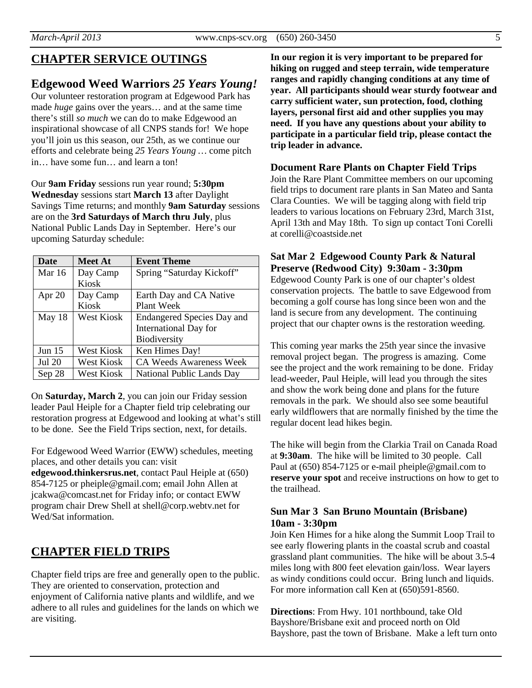# **CHAPTER SERVICE OUTINGS**

## **Edgewood Weed Warriors** *25 Years Young!*

Our volunteer restoration program at Edgewood Park has made *huge* gains over the years… and at the same time there's still *so much* we can do to make Edgewood an inspirational showcase of all CNPS stands for! We hope you'll join us this season, our 25th, as we continue our efforts and celebrate being *25 Years Young …* come pitch in… have some fun… and learn a ton!

Our **9am Friday** sessions run year round; **5:30pm Wednesday** sessions start **March 13** after Daylight Savings Time returns; and monthly **9am Saturday** sessions are on the **3rd Saturdays of March thru July**, plus National Public Lands Day in September. Here's our upcoming Saturday schedule:

| Date          | <b>Meet At</b>    | <b>Event Theme</b>                |
|---------------|-------------------|-----------------------------------|
| Mar $16$      | Day Camp          | Spring "Saturday Kickoff"         |
|               | Kiosk             |                                   |
| Apr $20$      | Day Camp          | Earth Day and CA Native           |
|               | Kiosk             | Plant Week                        |
| May $18$      | West Kiosk        | <b>Endangered Species Day and</b> |
|               |                   | <b>International Day for</b>      |
|               |                   | Biodiversity                      |
| Jun $15$      | <b>West Kiosk</b> | Ken Himes Day!                    |
| <b>Jul 20</b> | West Kiosk        | <b>CA Weeds Awareness Week</b>    |
| Sep 28        | West Kiosk        | <b>National Public Lands Day</b>  |

On **Saturday, March 2**, you can join our Friday session leader Paul Heiple for a Chapter field trip celebrating our restoration progress at Edgewood and looking at what's still to be done. See the Field Trips section, next, for details.

For Edgewood Weed Warrior (EWW) schedules, meeting places, and other details you can: visit

**edgewood.thinkersrus.net**, contact Paul Heiple at (650) 854-7125 or pheiple@gmail.com; email John Allen at jcakwa@comcast.net for Friday info; or contact EWW program chair Drew Shell at shell@corp.webtv.net for Wed/Sat information.

# **CHAPTER FIELD TRIPS**

Chapter field trips are free and generally open to the public. They are oriented to conservation, protection and enjoyment of California native plants and wildlife, and we adhere to all rules and guidelines for the lands on which we are visiting.

**In our region it is very important to be prepared for hiking on rugged and steep terrain, wide temperature ranges and rapidly changing conditions at any time of year. All participants should wear sturdy footwear and carry sufficient water, sun protection, food, clothing layers, personal first aid and other supplies you may need. If you have any questions about your ability to participate in a particular field trip, please contact the trip leader in advance.** 

#### **Document Rare Plants on Chapter Field Trips**

Join the Rare Plant Committee members on our upcoming field trips to document rare plants in San Mateo and Santa Clara Counties. We will be tagging along with field trip leaders to various locations on February 23rd, March 31st, April 13th and May 18th. To sign up contact Toni Corelli at corelli@coastside.net

#### **Sat Mar 2 Edgewood County Park & Natural Preserve (Redwood City) 9:30am - 3:30pm**

Edgewood County Park is one of our chapter's oldest conservation projects. The battle to save Edgewood from becoming a golf course has long since been won and the land is secure from any development. The continuing project that our chapter owns is the restoration weeding.

This coming year marks the 25th year since the invasive removal project began. The progress is amazing. Come see the project and the work remaining to be done. Friday lead-weeder, Paul Heiple, will lead you through the sites and show the work being done and plans for the future removals in the park. We should also see some beautiful early wildflowers that are normally finished by the time the regular docent lead hikes begin.

The hike will begin from the Clarkia Trail on Canada Road at **9:30am**. The hike will be limited to 30 people. Call Paul at (650) 854-7125 or e-mail pheiple@gmail.com to **reserve your spot** and receive instructions on how to get to the trailhead.

### **Sun Mar 3 San Bruno Mountain (Brisbane) 10am - 3:30pm**

Join Ken Himes for a hike along the Summit Loop Trail to see early flowering plants in the coastal scrub and coastal grassland plant communities. The hike will be about 3.5-4 miles long with 800 feet elevation gain/loss. Wear layers as windy conditions could occur. Bring lunch and liquids. For more information call Ken at (650)591-8560.

**Directions**: From Hwy. 101 northbound, take Old Bayshore/Brisbane exit and proceed north on Old Bayshore, past the town of Brisbane. Make a left turn onto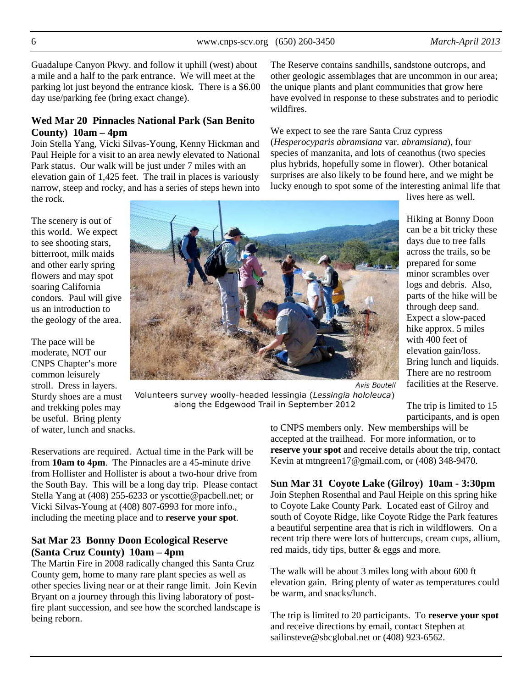Guadalupe Canyon Pkwy. and follow it uphill (west) about a mile and a half to the park entrance. We will meet at the parking lot just beyond the entrance kiosk. There is a \$6.00 day use/parking fee (bring exact change).

#### **Wed Mar 20 Pinnacles National Park (San Benito County) 10am – 4pm**

Join Stella Yang, Vicki Silvas-Young, Kenny Hickman and Paul Heiple for a visit to an area newly elevated to National Park status. Our walk will be just under 7 miles with an elevation gain of 1,425 feet. The trail in places is variously narrow, steep and rocky, and has a series of steps hewn into the rock.

The scenery is out of this world. We expect to see shooting stars, bitterroot, milk maids and other early spring flowers and may spot soaring California condors. Paul will give us an introduction to the geology of the area.

The pace will be moderate, NOT our CNPS Chapter's more common leisurely stroll. Dress in layers. Sturdy shoes are a must and trekking poles may be useful. Bring plenty of water, lunch and snacks.

The Reserve contains sandhills, sandstone outcrops, and other geologic assemblages that are uncommon in our area; the unique plants and plant communities that grow here have evolved in response to these substrates and to periodic wildfires.

We expect to see the rare Santa Cruz cypress (*Hesperocyparis abramsiana* var. *abramsiana*), four species of manzanita, and lots of ceanothus (two species plus hybrids, hopefully some in flower). Other botanical surprises are also likely to be found here, and we might be lucky enough to spot some of the interesting animal life that

lives here as well.

Hiking at Bonny Doon can be a bit tricky these days due to tree falls across the trails, so be prepared for some minor scrambles over logs and debris. Also, parts of the hike will be through deep sand. Expect a slow-paced hike approx. 5 miles with 400 feet of elevation gain/loss. Bring lunch and liquids. There are no restroom facilities at the Reserve.

**Avis Boutell** Volunteers survey woolly-headed lessingia (Lessingia hololeuca)

> The trip is limited to 15 participants, and is open

Reservations are required. Actual time in the Park will be from **10am to 4pm**. The Pinnacles are a 45-minute drive from Hollister and Hollister is about a two-hour drive from the South Bay. This will be a long day trip. Please contact Stella Yang at (408) 255-6233 or yscottie@pacbell.net; or Vicki Silvas-Young at (408) 807-6993 for more info., including the meeting place and to **reserve your spot**.

### **Sat Mar 23 Bonny Doon Ecological Reserve (Santa Cruz County) 10am – 4pm**

The Martin Fire in 2008 radically changed this Santa Cruz County gem, home to many rare plant species as well as other species living near or at their range limit. Join Kevin Bryant on a journey through this living laboratory of postfire plant succession, and see how the scorched landscape is being reborn.

to CNPS members only. New memberships will be accepted at the trailhead. For more information, or to **reserve your spot** and receive details about the trip, contact Kevin at mtngreen17@gmail.com, or (408) 348-9470.

**Sun Mar 31 Coyote Lake (Gilroy) 10am - 3:30pm**  Join Stephen Rosenthal and Paul Heiple on this spring hike to Coyote Lake County Park. Located east of Gilroy and south of Coyote Ridge, like Coyote Ridge the Park features a beautiful serpentine area that is rich in wildflowers. On a recent trip there were lots of buttercups, cream cups, allium, red maids, tidy tips, butter & eggs and more.

The walk will be about 3 miles long with about 600 ft elevation gain. Bring plenty of water as temperatures could be warm, and snacks/lunch.

The trip is limited to 20 participants. To **reserve your spot**  and receive directions by email, contact Stephen at sailinsteve@sbcglobal.net or (408) 923-6562.



along the Edgewood Trail in September 2012

6 www.cnps-scv.org (650) 260-3450 *March-April 2013*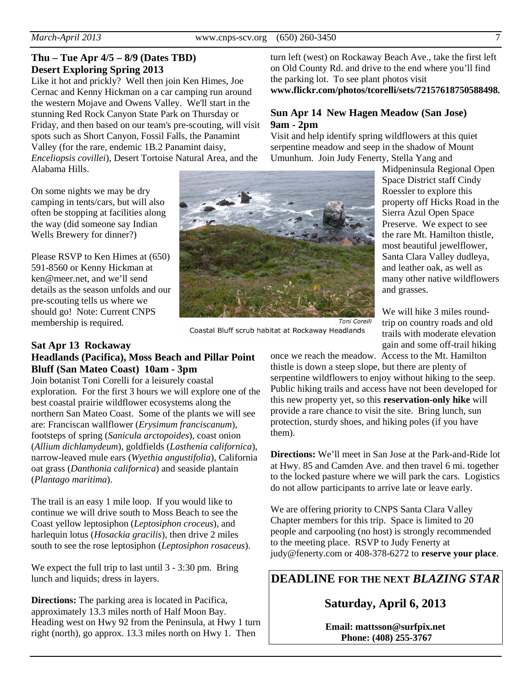### **Thu – Tue Apr 4/5 – 8/9 (Dates TBD) Desert Exploring Spring 2013**

Like it hot and prickly? Well then join Ken Himes, Joe Cernac and Kenny Hickman on a car camping run around the western Mojave and Owens Valley. We'll start in the stunning Red Rock Canyon State Park on Thursday or Friday, and then based on our team's pre-scouting, will visit spots such as Short Canyon, Fossil Falls, the Panamint Valley (for the rare, endemic 1B.2 Panamint daisy, *Enceliopsis covillei*), Desert Tortoise Natural Area, and the Alabama Hills.

On some nights we may be dry camping in tents/cars, but will also often be stopping at facilities along the way (did someone say Indian Wells Brewery for dinner?)

Please RSVP to Ken Himes at (650) 591-8560 or Kenny Hickman at ken@meer.net, and we'll send details as the season unfolds and our pre-scouting tells us where we should go! Note: Current CNPS membership is required.

#### **Sat Apr 13 Rockaway Headlands (Pacifica), Moss Beach and Pillar Point Bluff (San Mateo Coast) 10am - 3pm**

Join botanist Toni Corelli for a leisurely coastal exploration. For the first 3 hours we will explore one of the best coastal prairie wildflower ecosystems along the northern San Mateo Coast. Some of the plants we will see are: Franciscan wallflower (*Erysimum franciscanum*), footsteps of spring (*Sanicula arctopoides*), coast onion (*Allium dichlamydeum*), goldfields (*Lasthenia californica*), narrow-leaved mule ears (*Wyethia angustifolia*), California oat grass (*Danthonia californica*) and seaside plantain (*Plantago maritima*).

The trail is an easy 1 mile loop. If you would like to continue we will drive south to Moss Beach to see the Coast yellow leptosiphon (*Leptosiphon croceus*), and harlequin lotus (*Hosackia gracilis*), then drive 2 miles south to see the rose leptosiphon (*Leptosiphon rosaceus*).

We expect the full trip to last until 3 - 3:30 pm. Bring lunch and liquids; dress in layers.

**Directions:** The parking area is located in Pacifica, approximately 13.3 miles north of Half Moon Bay. Heading west on Hwy 92 from the Peninsula, at Hwy 1 turn right (north), go approx. 13.3 miles north on Hwy 1. Then

turn left (west) on Rockaway Beach Ave., take the first left on Old County Rd. and drive to the end where you'll find the parking lot. To see plant photos visit **www.flickr.com/photos/tcorelli/sets/72157618750588498.**

#### **Sun Apr 14 New Hagen Meadow (San Jose) 9am - 2pm**

Visit and help identify spring wildflowers at this quiet serpentine meadow and seep in the shadow of Mount Umunhum. Join Judy Fenerty, Stella Yang and

Midpeninsula Regional Open Space District staff Cindy Roessler to explore this property off Hicks Road in the Sierra Azul Open Space Preserve. We expect to see the rare Mt. Hamilton thistle, most beautiful jewelflower, Santa Clara Valley dudleya, and leather oak, as well as many other native wildflowers and grasses.

We will hike 3 miles roundtrip on country roads and old trails with moderate elevation gain and some off-trail hiking

Coastal Bluff scrub habitat at Rockaway Headlands

once we reach the meadow. Access to the Mt. Hamilton thistle is down a steep slope, but there are plenty of serpentine wildflowers to enjoy without hiking to the seep. Public hiking trails and access have not been developed for this new property yet, so this **reservation-only hike** will provide a rare chance to visit the site. Bring lunch, sun protection, sturdy shoes, and hiking poles (if you have them).

Toni Corelli

**Directions:** We'll meet in San Jose at the Park-and-Ride lot at Hwy. 85 and Camden Ave. and then travel 6 mi. together to the locked pasture where we will park the cars. Logistics do not allow participants to arrive late or leave early.

We are offering priority to CNPS Santa Clara Valley Chapter members for this trip. Space is limited to 20 people and carpooling (no host) is strongly recommended to the meeting place. RSVP to Judy Fenerty at judy@fenerty.com or 408-378-6272 to **reserve your place**.

**DEADLINE FOR THE NEXT** *BLAZING STAR* 

**Saturday, April 6, 2013** 

**Email: mattsson@surfpix.net Phone: (408) 255-3767**